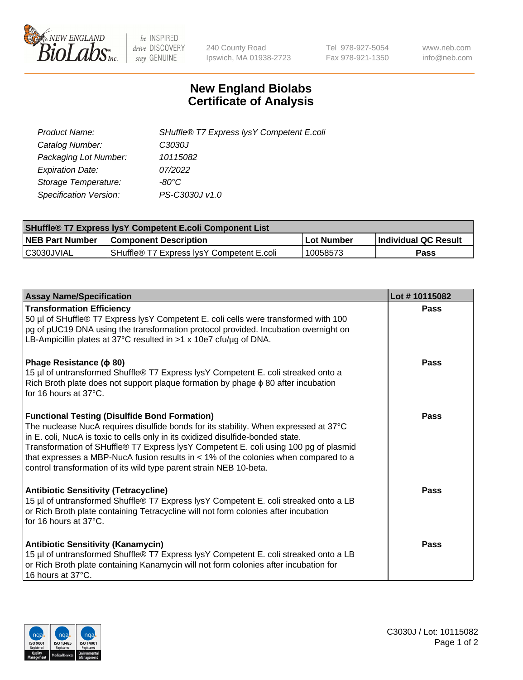

 $be$  INSPIRED drive DISCOVERY stay GENUINE

240 County Road Ipswich, MA 01938-2723 Tel 978-927-5054 Fax 978-921-1350 www.neb.com info@neb.com

## **New England Biolabs Certificate of Analysis**

| SHuffle® T7 Express lysY Competent E.coli |
|-------------------------------------------|
| C3030J                                    |
| 10115082                                  |
| 07/2022                                   |
| -80°C                                     |
| PS-C3030J v1.0                            |
|                                           |

| <b>SHuffle<sup>®</sup> T7 Express lysY Competent E.coli Component List</b> |                                           |            |                      |  |
|----------------------------------------------------------------------------|-------------------------------------------|------------|----------------------|--|
| <b>NEB Part Number</b>                                                     | <b>Component Description</b>              | Lot Number | Individual QC Result |  |
| IC3030JVIAL                                                                | SHuffle® T7 Express IvsY Competent E.coli | 10058573   | Pass                 |  |

| <b>Assay Name/Specification</b>                                                                                                                                                                                                                                                                                                                                                                                                                                                        | Lot #10115082 |
|----------------------------------------------------------------------------------------------------------------------------------------------------------------------------------------------------------------------------------------------------------------------------------------------------------------------------------------------------------------------------------------------------------------------------------------------------------------------------------------|---------------|
| <b>Transformation Efficiency</b><br>50 µl of SHuffle® T7 Express lysY Competent E. coli cells were transformed with 100<br>pg of pUC19 DNA using the transformation protocol provided. Incubation overnight on<br>LB-Ampicillin plates at 37°C resulted in $>1 \times 10e7$ cfu/ug of DNA.                                                                                                                                                                                             | Pass          |
| Phage Resistance ( $\phi$ 80)<br>15 µl of untransformed Shuffle® T7 Express lysY Competent E. coli streaked onto a<br>Rich Broth plate does not support plaque formation by phage $\phi$ 80 after incubation<br>for 16 hours at 37°C.                                                                                                                                                                                                                                                  | Pass          |
| <b>Functional Testing (Disulfide Bond Formation)</b><br>The nuclease NucA requires disulfide bonds for its stability. When expressed at 37°C<br>in E. coli, NucA is toxic to cells only in its oxidized disulfide-bonded state.<br>Transformation of SHuffle® T7 Express lysY Competent E. coli using 100 pg of plasmid<br>that expresses a MBP-NucA fusion results in $<$ 1% of the colonies when compared to a<br>control transformation of its wild type parent strain NEB 10-beta. | Pass          |
| <b>Antibiotic Sensitivity (Tetracycline)</b><br>15 µl of untransformed Shuffle® T7 Express lysY Competent E. coli streaked onto a LB<br>or Rich Broth plate containing Tetracycline will not form colonies after incubation<br>for 16 hours at $37^{\circ}$ C.                                                                                                                                                                                                                         | Pass          |
| <b>Antibiotic Sensitivity (Kanamycin)</b><br>15 µl of untransformed Shuffle® T7 Express lysY Competent E. coli streaked onto a LB<br>or Rich Broth plate containing Kanamycin will not form colonies after incubation for<br>16 hours at 37°C.                                                                                                                                                                                                                                         | Pass          |